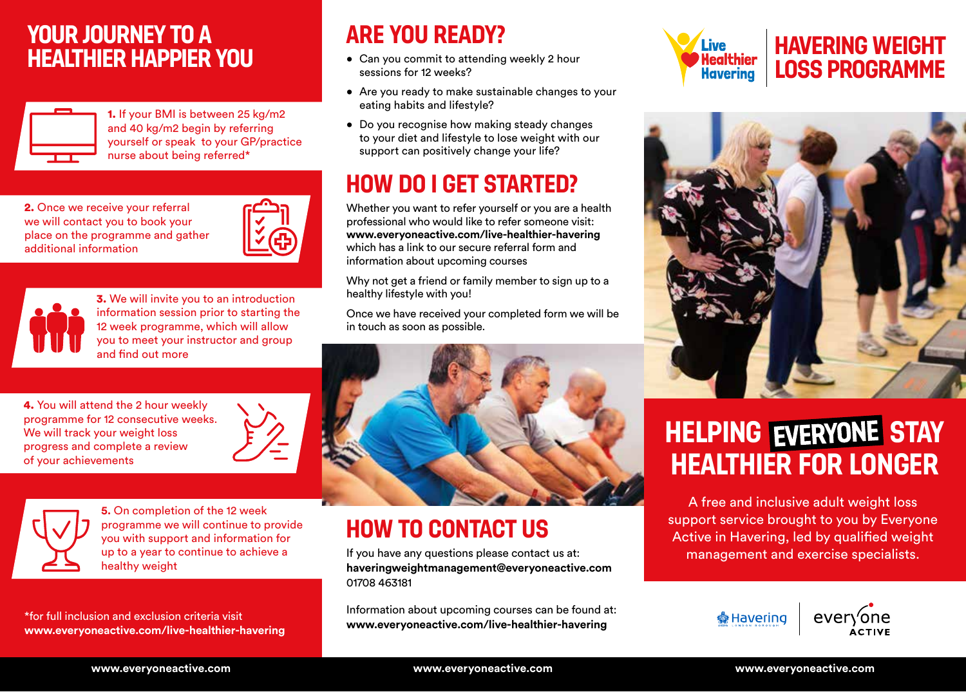### **YOUR JOURNEY TO A HEALTHIER HAPPIER YOU**



1. If your BMI is between 25 kg/m2 and 40 kg/m2 begin by referring yourself or speak to your GP/practice nurse about being referred\*

2. Once we receive your referral we will contact you to book your place on the programme and gather additional information

4. You will attend the 2 hour weekly programme for 12 consecutive weeks.

We will track your weight loss progress and complete a review

of your achievements



3. We will invite you to an introduction information session prior to starting the 12 week programme, which will allow you to meet your instructor and group and find out more

## **ARE YOU READY?**

- Can you commit to attending weekly 2 hour sessions for 12 weeks?
- Are you ready to make sustainable changes to your eating habits and lifestyle?
- Do you recognise how making steady changes to your diet and lifestyle to lose weight with our support can positively change your life?

## **HOW DO I GET STARTED?**

Whether you want to refer yourself or you are a health professional who would like to refer someone visit: **www.everyoneactive.com/live-healthier-havering** which has a link to our secure referral form and information about upcoming courses

Why not get a friend or family member to sign up to a healthy lifestyle with you!

Once we have received your completed form we will be in touch as soon as possible.



# **HOW TO CONTACT US**

If you have any questions please contact us at: **haveringweightmanagement@everyoneactive.com** 01708 463181

Information about upcoming courses can be found at: **www.everyoneactive.com/live-healthier-havering** \*for full inclusion and exclusion criteria visit



### **HAVERING WEIGHT LOSS PROGRAMME**



# **HELPING EVERYONE STAY HEALTHIER FOR LONGER**

A free and inclusive adult weight loss support service brought to you by Everyone Active in Havering, led by qualified weight management and exercise specialists.



**www.everyoneactive.com/live-healthier-havering**

healthy weight

**5.** On completion of the 12 week programme we will continue to provide you with support and information for up to a year to continue to achieve a